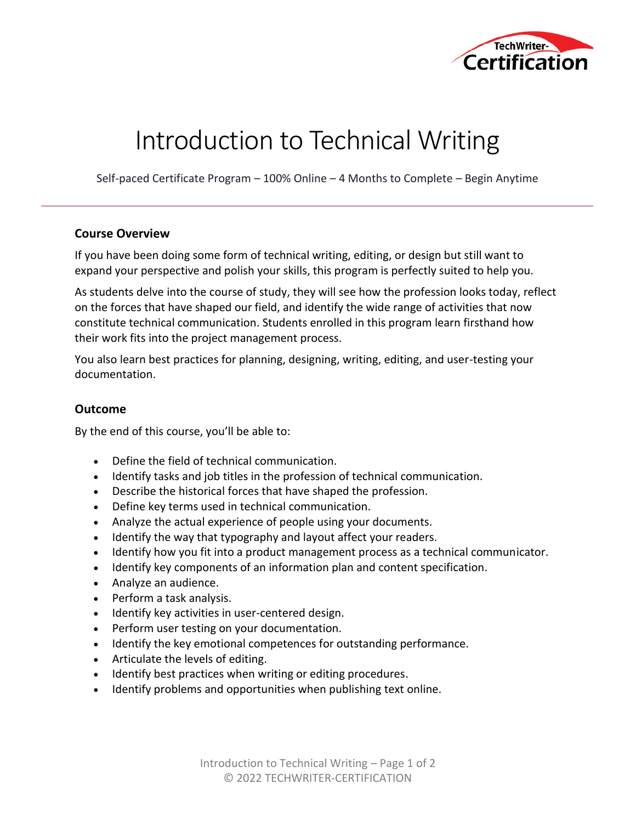

# Introduction to Technical Writing

Self-paced Certificate Program – 100% Online – 4 Months to Complete – Begin Anytime

### **Course Overview**

If you have been doing some form of technical writing, editing, or design but still want to expand your perspective and polish your skills, this program is perfectly suited to help you.

As students delve into the course of study, they will see how the profession looks today, reflect on the forces that have shaped our field, and identify the wide range of activities that now constitute technical communication. Students enrolled in this program learn firsthand how their work fits into the project management process.

You also learn best practices for planning, designing, writing, editing, and user-testing your documentation.

### **Outcome**

By the end of this course, you'll be able to:

- Define the field of technical communication.
- Identify tasks and job titles in the profession of technical communication.
- Describe the historical forces that have shaped the profession.
- Define key terms used in technical communication.
- Analyze the actual experience of people using your documents.
- Identify the way that typography and layout affect your readers.
- Identify how you fit into a product management process as a technical communicator.
- Identify key components of an information plan and content specification.
- Analyze an audience.
- Perform a task analysis.
- Identify key activities in user-centered design.
- Perform user testing on your documentation.
- Identify the key emotional competences for outstanding performance.
- Articulate the levels of editing.
- Identify best practices when writing or editing procedures.
- Identify problems and opportunities when publishing text online.